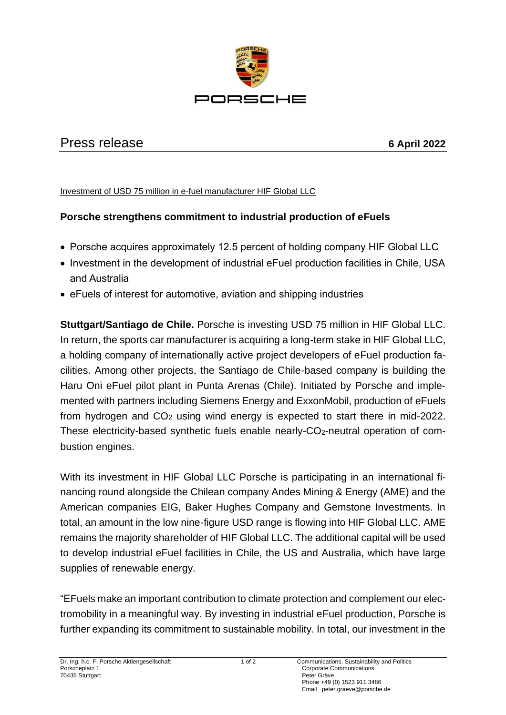

## Press release **6 April 2022**

## Investment of USD 75 million in e-fuel manufacturer HIF Global LLC

## **Porsche strengthens commitment to industrial production of eFuels**

- Porsche acquires approximately 12.5 percent of holding company HIF Global LLC
- Investment in the development of industrial eFuel production facilities in Chile, USA and Australia
- eFuels of interest for automotive, aviation and shipping industries

**Stuttgart/Santiago de Chile.** Porsche is investing USD 75 million in HIF Global LLC. In return, the sports car manufacturer is acquiring a long-term stake in HIF Global LLC, a holding company of internationally active project developers of eFuel production facilities. Among other projects, the Santiago de Chile-based company is building the Haru Oni eFuel pilot plant in Punta Arenas (Chile). Initiated by Porsche and implemented with partners including Siemens Energy and ExxonMobil, production of eFuels from hydrogen and CO<sup>2</sup> using wind energy is expected to start there in mid-2022. These electricity-based synthetic fuels enable nearly-CO2-neutral operation of combustion engines.

With its investment in HIF Global LLC Porsche is participating in an international financing round alongside the Chilean company Andes Mining & Energy (AME) and the American companies EIG, Baker Hughes Company and Gemstone Investments. In total, an amount in the low nine-figure USD range is flowing into HIF Global LLC. AME remains the majority shareholder of HIF Global LLC. The additional capital will be used to develop industrial eFuel facilities in Chile, the US and Australia, which have large supplies of renewable energy.

"EFuels make an important contribution to climate protection and complement our electromobility in a meaningful way. By investing in industrial eFuel production, Porsche is further expanding its commitment to sustainable mobility. In total, our investment in the